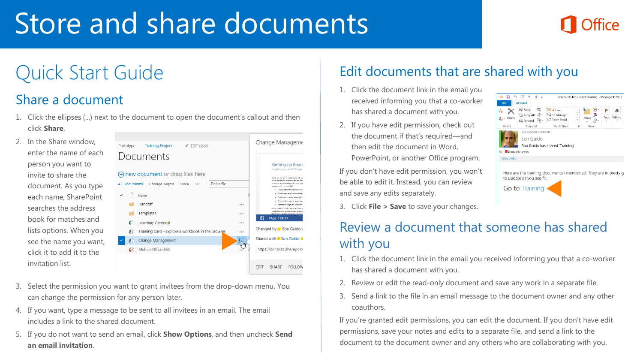# Store and share documents

#### Share a document

1. Click the ellipses (...) next to the document to open the document's callout and then click **Share**.

2. In the Share window, enter the name of each person you want to invite to share the document. As you type each name, SharePoint searches the address book for matches and lists options. When you see the name you want, click it to add it to the invitation list.



- 3. Select the permission you want to grant invitees from the drop-down menu. You can change the permission for any person later.
- 4. If you want, type a message to be sent to all invitees in an email. The email includes a link to the shared document.
- 5. If you do not want to send an email, click **Show Options**, and then uncheck **Send an email invitation**.

## Quick Start Guide **Edit documents that are shared with you**

- 1. Click the document link in the email you received informing you that a co-worker has shared a document with you.
- 2. If you have edit permission, check out the document if that's required—and then edit the document in Word, PowerPoint, or another Office program.

If you don't have edit permission, you won't be able to edit it. Instead, you can review and save any edits separately.

3. Click **File > Save** to save your changes.



#### Review a document that someone has shared with you

- 1. Click the document link in the email you received informing you that a co-worker has shared a document with you.
- 2. Review or edit the read-only document and save any work in a separate file.
- 3. Send a link to the file in an email message to the document owner and any other coauthors.

If you're granted edit permissions, you can edit the document. If you don't have edit permissions, save your notes and edits to a separate file, and send a link to the document to the document owner and any others who are collaborating with you.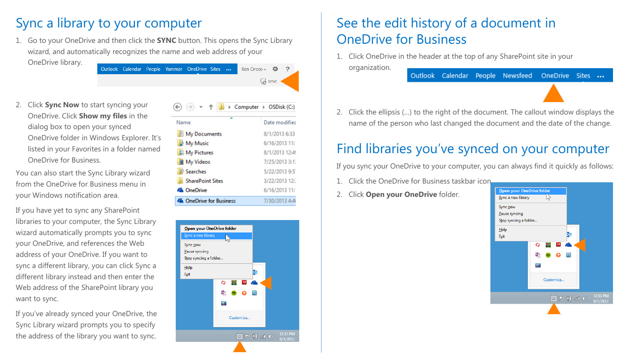### Sync a library to your computer

1. Go to your OneDrive and then click the **SYNC** button. This opens the Sync Library wizard, and automatically recognizes the name and web address of your OneDrive library.

Outlook Calendar People Yammer OneDrive Sites ... Ken Circeo  $\star$   $\bullet$  $\Box$  SYNC

2. Click **Sync Now** to start syncing your OneDrive. Click **Show my files** in the dialog box to open your synced OneDrive folder in Windows Explorer. It's listed in your Favorites in a folder named OneDrive for Business.

You can also start the Sync Library wizard from the OneDrive for Business menu in your Windows notification area.

If you have yet to sync any SharePoint libraries to your computer, the Sync Library wizard automatically prompts you to sync your OneDrive, and references the Web address of your OneDrive. If you want to sync a different library, you can click Sync a different library instead and then enter the Web address of the SharePoint library you want to sync.

If you've already synced your OneDrive, the Sync Library wizard prompts you to specify the address of the library you want to sync.

| > Computer > OSDisk (C:)      |                |
|-------------------------------|----------------|
| ×<br>Name                     | Date modified  |
| My Documents                  | 8/1/2013 6:33  |
| My Music                      | 6/16/2013 11:  |
| My Pictures                   | 8/1/2013 12:49 |
| My Videos                     | 7/25/2013 3:1  |
| <b><i>A</i></b> Searches      | 5/22/2013 9:5  |
| <b>SharePoint Sites</b>       | 3/22/2013 12:  |
| <b>A</b> OneDrive             | 6/16/2013 11:  |
| <b>ConeDrive for Business</b> | 7/30/2013 4:4  |



#### See the edit history of a document in OneDrive for Business

1. Click OneDrive in the header at the top of any SharePoint site in your organization. Outlook Calendar People Newsfeed OneDrive Sites ...



2. Click the ellipsis (…) to the right of the document. The callout window displays the name of the person who last changed the document and the date of the change.

#### Find libraries you've synced on your computer

If you sync your OneDrive to your computer, you can always find it quickly as follows:

- 1. Click the OneDrive for Business taskbar icon.
- 2. Click **Open your OneDrive** folder.